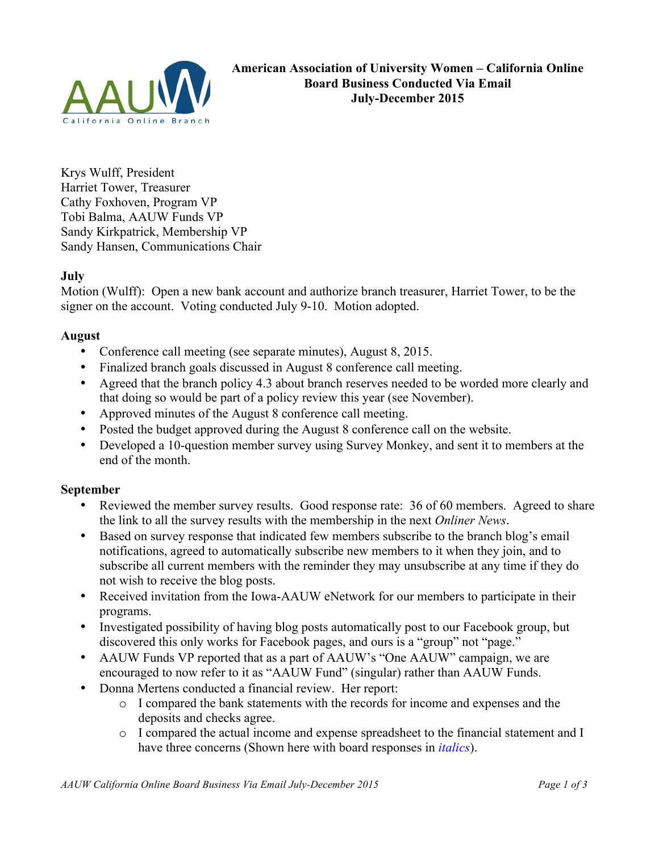

Krys Wulff, President Harriet Tower, Treasurer Cathy Foxhoven, Program VP Tobi Balma, AAUW Funds VP Sandy Kirkpatrick, Membership VP Sandy Hansen, Communications Chair

# **July**

Motion (Wulff): Open a new bank account and authorize branch treasurer, Harriet Tower, to be the signer on the account. Voting conducted July 9-10. Motion adopted.

## **August**

- Conference call meeting (see separate minutes), August 8, 2015.
- Finalized branch goals discussed in August 8 conference call meeting.
- Agreed that the branch policy 4.3 about branch reserves needed to be worded more clearly and that doing so would be part of a policy review this year (see November).
- Approved minutes of the August 8 conference call meeting.
- Posted the budget approved during the August 8 conference call on the website.
- Developed a 10-question member survey using Survey Monkey, and sent it to members at the end of the month.

# **September**

- Reviewed the member survey results. Good response rate: 36 of 60 members. Agreed to share the link to all the survey results with the membership in the next *Onliner News*.
- Based on survey response that indicated few members subscribe to the branch blog's email notifications, agreed to automatically subscribe new members to it when they join, and to subscribe all current members with the reminder they may unsubscribe at any time if they do not wish to receive the blog posts.
- Received invitation from the Iowa-AAUW eNetwork for our members to participate in their programs.
- Investigated possibility of having blog posts automatically post to our Facebook group, but discovered this only works for Facebook pages, and ours is a "group" not "page."
- AAUW Funds VP reported that as a part of AAUW's "One AAUW" campaign, we are encouraged to now refer to it as "AAUW Fund" (singular) rather than AAUW Funds.
- Donna Mertens conducted a financial review. Her report:
	- o I compared the bank statements with the records for income and expenses and the deposits and checks agree.
	- o I compared the actual income and expense spreadsheet to the financial statement and I have three concerns (Shown here with board responses in *italics*).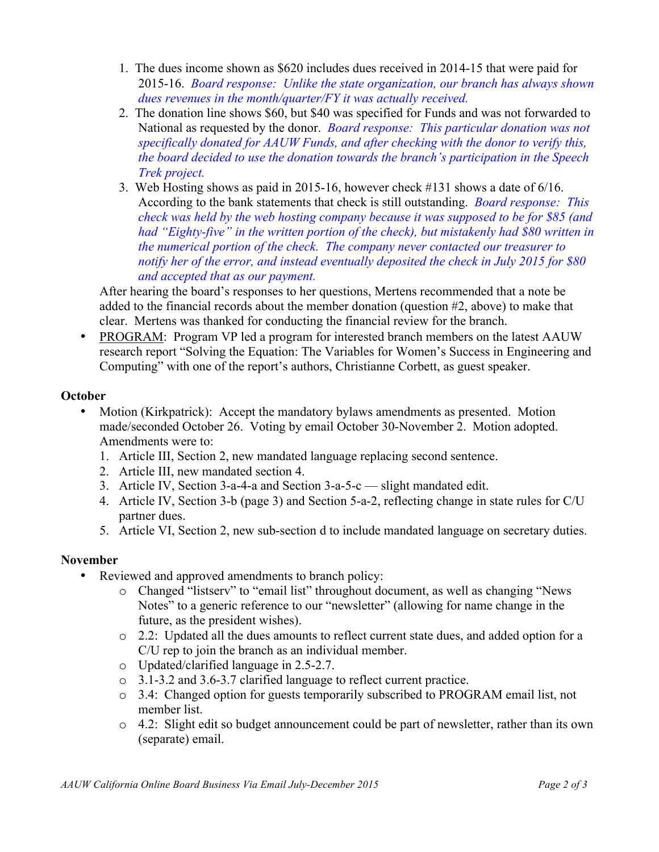- 1. The dues income shown as \$620 includes dues received in 2014-15 that were paid for 2015-16. *Board response: Unlike the state organization, our branch has always shown dues revenues in the month/quarter/FY it was actually received.*
- 2. The donation line shows \$60, but \$40 was specified for Funds and was not forwarded to National as requested by the donor. *Board response: This particular donation was not specifically donated for AAUW Funds, and after checking with the donor to verify this, the board decided to use the donation towards the branch's participation in the Speech Trek project.*
- 3. Web Hosting shows as paid in 2015-16, however check #131 shows a date of 6/16. According to the bank statements that check is still outstanding. *Board response: This check was held by the web hosting company because it was supposed to be for \$85 (and had "Eighty-five" in the written portion of the check), but mistakenly had \$80 written in the numerical portion of the check. The company never contacted our treasurer to notify her of the error, and instead eventually deposited the check in July 2015 for \$80 and accepted that as our payment.*

After hearing the board's responses to her questions, Mertens recommended that a note be added to the financial records about the member donation (question #2, above) to make that clear. Mertens was thanked for conducting the financial review for the branch.

• PROGRAM: Program VP led a program for interested branch members on the latest AAUW research report "Solving the Equation: The Variables for Women's Success in Engineering and Computing" with one of the report's authors, Christianne Corbett, as guest speaker.

# **October**

- Motion (Kirkpatrick): Accept the mandatory bylaws amendments as presented. Motion made/seconded October 26. Voting by email October 30-November 2. Motion adopted. Amendments were to:
	- 1. Article III, Section 2, new mandated language replacing second sentence.
	- 2. Article III, new mandated section 4.
	- 3. Article IV, Section 3-a-4-a and Section 3-a-5-c slight mandated edit.
	- 4. Article IV, Section 3-b (page 3) and Section 5-a-2, reflecting change in state rules for C/U partner dues.
	- 5. Article VI, Section 2, new sub-section d to include mandated language on secretary duties.

# **November**

- Reviewed and approved amendments to branch policy:
	- o Changed "listserv" to "email list" throughout document, as well as changing "News Notes" to a generic reference to our "newsletter" (allowing for name change in the future, as the president wishes).
	- o 2.2: Updated all the dues amounts to reflect current state dues, and added option for a C/U rep to join the branch as an individual member.
	- o Updated/clarified language in 2.5-2.7.
	- o 3.1-3.2 and 3.6-3.7 clarified language to reflect current practice.
	- o 3.4: Changed option for guests temporarily subscribed to PROGRAM email list, not member list.
	- $\circ$  4.2: Slight edit so budget announcement could be part of newsletter, rather than its own (separate) email.